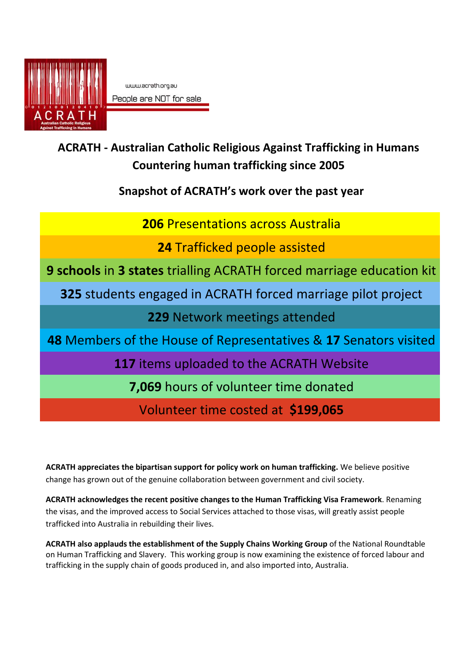

www.acrath.org.au People are NOT for sale

## **ACRATH - Australian Catholic Religious Against Trafficking in Humans Countering human trafficking since 2005**

**Snapshot of ACRATH's work over the past year**

**206** Presentations across Australia

**24** Trafficked people assisted

**9 schools** in **3 states** trialling ACRATH forced marriage education kit

**325** students engaged in ACRATH forced marriage pilot project

**229** Network meetings attended

**48** Members of the House of Representatives & **17** Senators visited

**117** items uploaded to the ACRATH Website

**7,069** hours of volunteer time donated

Volunteer time costed at **\$199,065**

**ACRATH appreciates the bipartisan support for policy work on human trafficking.** We believe positive change has grown out of the genuine collaboration between government and civil society.

**ACRATH acknowledges the recent positive changes to the Human Trafficking Visa Framework**. Renaming the visas, and the improved access to Social Services attached to those visas, will greatly assist people trafficked into Australia in rebuilding their lives.

**ACRATH also applauds the establishment of the Supply Chains Working Group** of the National Roundtable on Human Trafficking and Slavery. This working group is now examining the existence of forced labour and trafficking in the supply chain of goods produced in, and also imported into, Australia.